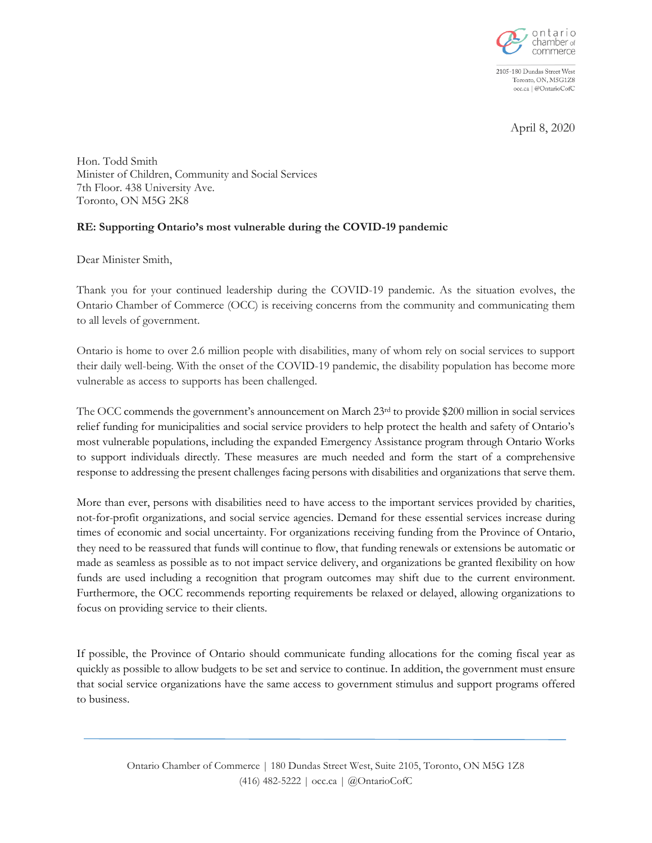

2105-180 Dundas Street West Toronto, ON, M5G1Z8 occ.ca | @OntarioCofC

April 8, 2020

Hon. Todd Smith Minister of Children, Community and Social Services 7th Floor. 438 University Ave. Toronto, ON M5G 2K8

## **RE: Supporting Ontario's most vulnerable during the COVID-19 pandemic**

Dear Minister Smith,

Thank you for your continued leadership during the COVID-19 pandemic. As the situation evolves, the Ontario Chamber of Commerce (OCC) is receiving concerns from the community and communicating them to all levels of government.

Ontario is home to over 2.6 million people with disabilities, many of whom rely on social services to support their daily well-being. With the onset of the COVID-19 pandemic, the disability population has become more vulnerable as access to supports has been challenged.

The OCC commends the government's announcement on March 23<sup>rd</sup> to provide \$200 million in social services relief funding for municipalities and social service providers to help protect the health and safety of Ontario's most vulnerable populations, including the expanded Emergency Assistance program through Ontario Works to support individuals directly. These measures are much needed and form the start of a comprehensive response to addressing the present challenges facing persons with disabilities and organizations that serve them.

More than ever, persons with disabilities need to have access to the important services provided by charities, not-for-profit organizations, and social service agencies. Demand for these essential services increase during times of economic and social uncertainty. For organizations receiving funding from the Province of Ontario, they need to be reassured that funds will continue to flow, that funding renewals or extensions be automatic or made as seamless as possible as to not impact service delivery, and organizations be granted flexibility on how funds are used including a recognition that program outcomes may shift due to the current environment. Furthermore, the OCC recommends reporting requirements be relaxed or delayed, allowing organizations to focus on providing service to their clients.

If possible, the Province of Ontario should communicate funding allocations for the coming fiscal year as quickly as possible to allow budgets to be set and service to continue. In addition, the government must ensure that social service organizations have the same access to government stimulus and support programs offered to business.